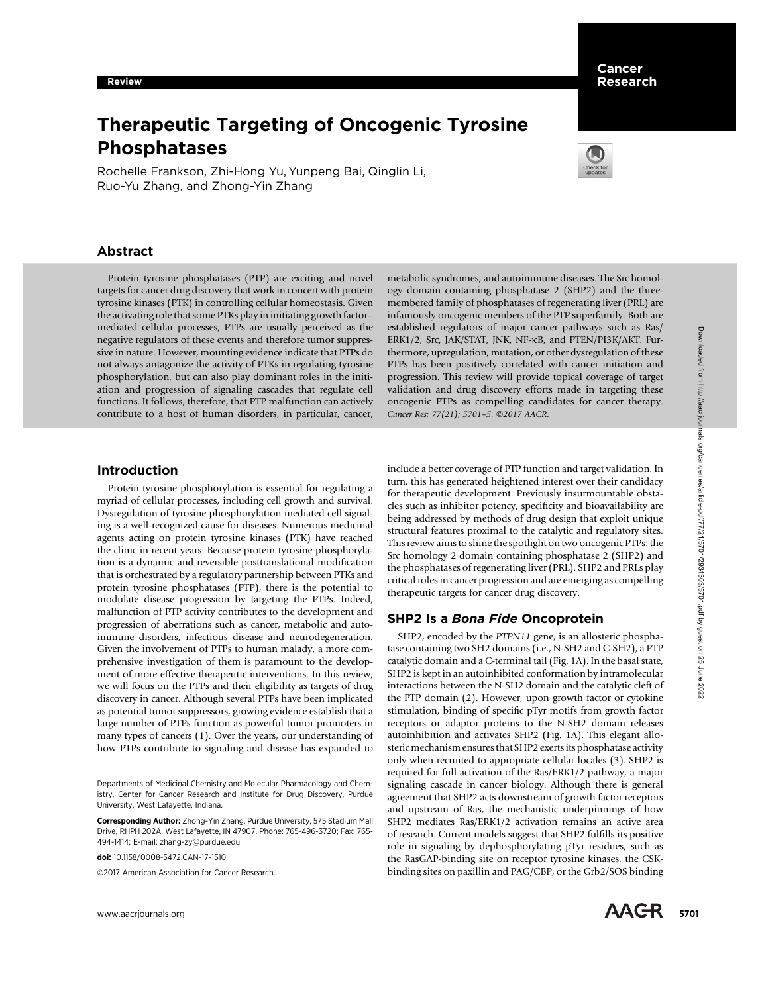# Therapeutic Targeting of Oncogenic Tyrosine Phosphatases

Rochelle Frankson, Zhi-Hong Yu, Yunpeng Bai, Qinglin Li, Ruo-Yu Zhang, and Zhong-Yin Zhang



# Abstract

Protein tyrosine phosphatases (PTP) are exciting and novel targets for cancer drug discovery that work in concert with protein tyrosine kinases (PTK) in controlling cellular homeostasis. Given the activating role that some PTKs play in initiating growth factor– mediated cellular processes, PTPs are usually perceived as the negative regulators of these events and therefore tumor suppressive in nature. However, mounting evidence indicate that PTPs do not always antagonize the activity of PTKs in regulating tyrosine phosphorylation, but can also play dominant roles in the initiation and progression of signaling cascades that regulate cell functions. It follows, therefore, that PTP malfunction can actively contribute to a host of human disorders, in particular, cancer, metabolic syndromes, and autoimmune diseases. The Src homology domain containing phosphatase 2 (SHP2) and the threemembered family of phosphatases of regenerating liver (PRL) are infamously oncogenic members of the PTP superfamily. Both are established regulators of major cancer pathways such as Ras/ ERK1/2, Src, JAK/STAT, JNK, NF-kB, and PTEN/PI3K/AKT. Furthermore, upregulation, mutation, or other dysregulation of these PTPs has been positively correlated with cancer initiation and progression. This review will provide topical coverage of target validation and drug discovery efforts made in targeting these oncogenic PTPs as compelling candidates for cancer therapy. Cancer Res; 77(21); 5701-5. ©2017 AACR.

## Introduction

Protein tyrosine phosphorylation is essential for regulating a myriad of cellular processes, including cell growth and survival. Dysregulation of tyrosine phosphorylation mediated cell signaling is a well-recognized cause for diseases. Numerous medicinal agents acting on protein tyrosine kinases (PTK) have reached the clinic in recent years. Because protein tyrosine phosphorylation is a dynamic and reversible posttranslational modification that is orchestrated by a regulatory partnership between PTKs and protein tyrosine phosphatases (PTP), there is the potential to modulate disease progression by targeting the PTPs. Indeed, malfunction of PTP activity contributes to the development and progression of aberrations such as cancer, metabolic and autoimmune disorders, infectious disease and neurodegeneration. Given the involvement of PTPs to human malady, a more comprehensive investigation of them is paramount to the development of more effective therapeutic interventions. In this review, we will focus on the PTPs and their eligibility as targets of drug discovery in cancer. Although several PTPs have been implicated as potential tumor suppressors, growing evidence establish that a large number of PTPs function as powerful tumor promoters in many types of cancers (1). Over the years, our understanding of how PTPs contribute to signaling and disease has expanded to where registration of the registration of the state of the state of the state of the state of the state of the state of the state of the state of the state of the state of the state of the state of the state of the state

©2017 American Association for Cancer Research.

include a better coverage of PTP function and target validation. In turn, this has generated heightened interest over their candidacy for therapeutic development. Previously insurmountable obstacles such as inhibitor potency, specificity and bioavailability are being addressed by methods of drug design that exploit unique structural features proximal to the catalytic and regulatory sites. This review aims to shine the spotlight on two oncogenic PTPs: the Src homology 2 domain containing phosphatase 2 (SHP2) and the phosphatases of regenerating liver (PRL). SHP2 and PRLs play critical roles in cancer progression and are emerging as compelling therapeutic targets for cancer drug discovery.

## SHP2 Is a Bona Fide Oncoprotein

SHP2, encoded by the PTPN11 gene, is an allosteric phosphatase containing two SH2 domains (i.e., N-SH2 and C-SH2), a PTP catalytic domain and a C-terminal tail (Fig. 1A). In the basal state, SHP2 is kept in an autoinhibited conformation by intramolecular interactions between the N-SH2 domain and the catalytic cleft of the PTP domain (2). However, upon growth factor or cytokine stimulation, binding of specific pTyr motifs from growth factor receptors or adaptor proteins to the N-SH2 domain releases autoinhibition and activates SHP2 (Fig. 1A). This elegant allosteric mechanism ensures that SHP2 exerts its phosphatase activity only when recruited to appropriate cellular locales (3). SHP2 is required for full activation of the Ras/ERK1/2 pathway, a major signaling cascade in cancer biology. Although there is general agreement that SHP2 acts downstream of growth factor receptors and upstream of Ras, the mechanistic underpinnings of how SHP2 mediates Ras/ERK1/2 activation remains an active area of research. Current models suggest that SHP2 fulfills its positive role in signaling by dephosphorylating pTyr residues, such as the RasGAP-binding site on receptor tyrosine kinases, the CSKbinding sites on paxillin and PAG/CBP, or the Grb2/SOS binding

Departments of Medicinal Chemistry and Molecular Pharmacology and Chemistry, Center for Cancer Research and Institute for Drug Discovery, Purdue University, West Lafayette, Indiana.

Corresponding Author: Zhong-Yin Zhang, Purdue University, 575 Stadium Mall Drive, RHPH 202A, West Lafayette, IN 47907. Phone: 765-496-3720; Fax: 765- 494-1414; E-mail: zhang-zy@purdue.edu

doi: 10.1158/0008-5472.CAN-17-1510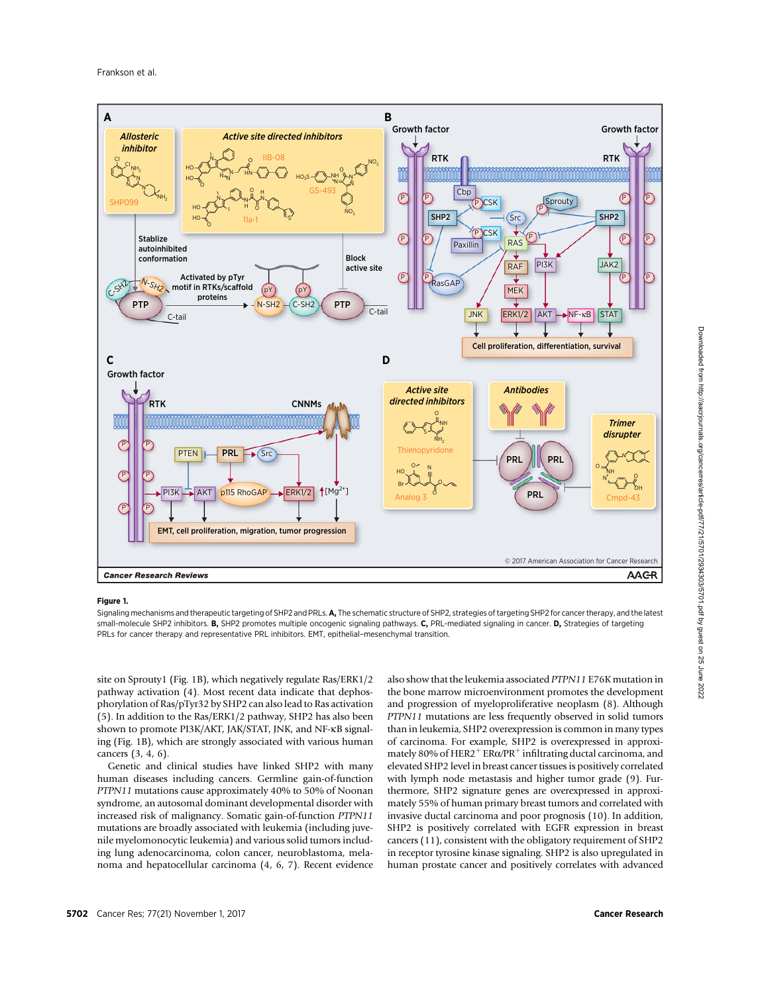

### Figure 1.

Signaling mechanisms and therapeutic targeting of SHP2 and PRLs. A, The schematic structure of SHP2, strategies of targeting SHP2 for cancer therapy, and the latest small-molecule SHP2 inhibitors. B, SHP2 promotes multiple oncogenic signaling pathways. C, PRL-mediated signaling in cancer. D, Strategies of targeting PRLs for cancer therapy and representative PRL inhibitors. EMT, epithelial–mesenchymal transition.

site on Sprouty1 (Fig. 1B), which negatively regulate Ras/ERK1/2 pathway activation (4). Most recent data indicate that dephosphorylation of Ras/pTyr32 by SHP2 can also lead to Ras activation (5). In addition to the Ras/ERK1/2 pathway, SHP2 has also been shown to promote PI3K/AKT, JAK/STAT, JNK, and NF-kB signaling (Fig. 1B), which are strongly associated with various human cancers (3, 4, 6).

Genetic and clinical studies have linked SHP2 with many human diseases including cancers. Germline gain-of-function PTPN11 mutations cause approximately 40% to 50% of Noonan syndrome, an autosomal dominant developmental disorder with increased risk of malignancy. Somatic gain-of-function PTPN11 mutations are broadly associated with leukemia (including juvenile myelomonocytic leukemia) and various solid tumors including lung adenocarcinoma, colon cancer, neuroblastoma, melanoma and hepatocellular carcinoma (4, 6, 7). Recent evidence

also show that the leukemia associated PTPN11 E76K mutation in the bone marrow microenvironment promotes the development and progression of myeloproliferative neoplasm (8). Although PTPN11 mutations are less frequently observed in solid tumors than in leukemia, SHP2 overexpression is common in many types of carcinoma. For example, SHP2 is overexpressed in approximately 80% of HER2<sup>+</sup> ER $\alpha$ /PR<sup>+</sup> infiltrating ductal carcinoma, and elevated SHP2 level in breast cancer tissues is positively correlated with lymph node metastasis and higher tumor grade (9). Furthermore, SHP2 signature genes are overexpressed in approximately 55% of human primary breast tumors and correlated with invasive ductal carcinoma and poor prognosis (10). In addition, SHP2 is positively correlated with EGFR expression in breast cancers (11), consistent with the obligatory requirement of SHP2 in receptor tyrosine kinase signaling. SHP2 is also upregulated in human prostate cancer and positively correlates with advanced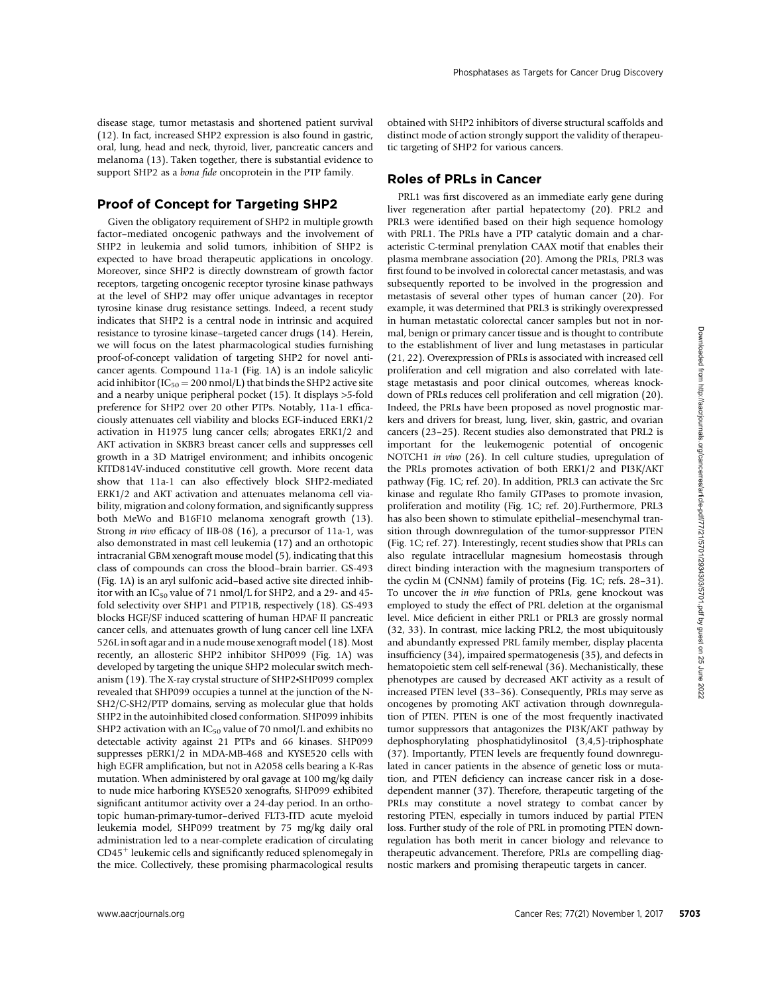disease stage, tumor metastasis and shortened patient survival (12). In fact, increased SHP2 expression is also found in gastric, oral, lung, head and neck, thyroid, liver, pancreatic cancers and melanoma (13). Taken together, there is substantial evidence to support SHP2 as a *bona fide* oncoprotein in the PTP family.

# Proof of Concept for Targeting SHP2

Given the obligatory requirement of SHP2 in multiple growth factor–mediated oncogenic pathways and the involvement of SHP2 in leukemia and solid tumors, inhibition of SHP2 is expected to have broad therapeutic applications in oncology. Moreover, since SHP2 is directly downstream of growth factor receptors, targeting oncogenic receptor tyrosine kinase pathways at the level of SHP2 may offer unique advantages in receptor tyrosine kinase drug resistance settings. Indeed, a recent study indicates that SHP2 is a central node in intrinsic and acquired resistance to tyrosine kinase–targeted cancer drugs (14). Herein, we will focus on the latest pharmacological studies furnishing proof-of-concept validation of targeting SHP2 for novel anticancer agents. Compound 11a-1 (Fig. 1A) is an indole salicylic acid inhibitor ( $IC_{50} = 200$  nmol/L) that binds the SHP2 active site and a nearby unique peripheral pocket (15). It displays >5-fold preference for SHP2 over 20 other PTPs. Notably, 11a-1 efficaciously attenuates cell viability and blocks EGF-induced ERK1/2 activation in H1975 lung cancer cells; abrogates ERK1/2 and AKT activation in SKBR3 breast cancer cells and suppresses cell growth in a 3D Matrigel environment; and inhibits oncogenic KITD814V-induced constitutive cell growth. More recent data show that 11a-1 can also effectively block SHP2-mediated ERK1/2 and AKT activation and attenuates melanoma cell viability, migration and colony formation, and significantly suppress both MeWo and B16F10 melanoma xenograft growth (13). Strong in vivo efficacy of IIB-08 (16), a precursor of 11a-1, was also demonstrated in mast cell leukemia (17) and an orthotopic intracranial GBM xenograft mouse model (5), indicating that this class of compounds can cross the blood–brain barrier. GS-493 (Fig. 1A) is an aryl sulfonic acid–based active site directed inhibitor with an IC $_{50}$  value of 71 nmol/L for SHP2, and a 29- and 45fold selectivity over SHP1 and PTP1B, respectively (18). GS-493 blocks HGF/SF induced scattering of human HPAF II pancreatic cancer cells, and attenuates growth of lung cancer cell line LXFA 526L in soft agar and in a nude mouse xenograft model (18). Most recently, an allosteric SHP2 inhibitor SHP099 (Fig. 1A) was developed by targeting the unique SHP2 molecular switch mechanism (19). The X-ray crystal structure of SHP2\*SHP099 complex revealed that SHP099 occupies a tunnel at the junction of the N-SH2/C-SH2/PTP domains, serving as molecular glue that holds SHP2 in the autoinhibited closed conformation. SHP099 inhibits SHP2 activation with an  $IC_{50}$  value of 70 nmol/L and exhibits no detectable activity against 21 PTPs and 66 kinases. SHP099 suppresses pERK1/2 in MDA-MB-468 and KYSE520 cells with high EGFR amplification, but not in A2058 cells bearing a K-Ras mutation. When administered by oral gavage at 100 mg/kg daily to nude mice harboring KYSE520 xenografts, SHP099 exhibited significant antitumor activity over a 24-day period. In an orthotopic human-primary-tumor–derived FLT3-ITD acute myeloid leukemia model, SHP099 treatment by 75 mg/kg daily oral administration led to a near-complete eradication of circulating  $CD45<sup>+</sup>$  leukemic cells and significantly reduced splenomegaly in the mice. Collectively, these promising pharmacological results obtained with SHP2 inhibitors of diverse structural scaffolds and distinct mode of action strongly support the validity of therapeutic targeting of SHP2 for various cancers.

# Roles of PRLs in Cancer

PRL1 was first discovered as an immediate early gene during liver regeneration after partial hepatectomy (20). PRL2 and PRL3 were identified based on their high sequence homology with PRL1. The PRLs have a PTP catalytic domain and a characteristic C-terminal prenylation CAAX motif that enables their plasma membrane association (20). Among the PRLs, PRL3 was first found to be involved in colorectal cancer metastasis, and was subsequently reported to be involved in the progression and metastasis of several other types of human cancer (20). For example, it was determined that PRL3 is strikingly overexpressed in human metastatic colorectal cancer samples but not in normal, benign or primary cancer tissue and is thought to contribute to the establishment of liver and lung metastases in particular (21, 22). Overexpression of PRLs is associated with increased cell proliferation and cell migration and also correlated with latestage metastasis and poor clinical outcomes, whereas knockdown of PRLs reduces cell proliferation and cell migration (20). Indeed, the PRLs have been proposed as novel prognostic markers and drivers for breast, lung, liver, skin, gastric, and ovarian cancers (23–25). Recent studies also demonstrated that PRL2 is important for the leukemogenic potential of oncogenic NOTCH1 in vivo (26). In cell culture studies, upregulation of the PRLs promotes activation of both ERK1/2 and PI3K/AKT pathway (Fig. 1C; ref. 20). In addition, PRL3 can activate the Src kinase and regulate Rho family GTPases to promote invasion, proliferation and motility (Fig. 1C; ref. 20).Furthermore, PRL3 has also been shown to stimulate epithelial–mesenchymal transition through downregulation of the tumor-suppressor PTEN (Fig. 1C; ref. 27). Interestingly, recent studies show that PRLs can also regulate intracellular magnesium homeostasis through direct binding interaction with the magnesium transporters of the cyclin M (CNNM) family of proteins (Fig. 1C; refs. 28–31). To uncover the in vivo function of PRLs, gene knockout was employed to study the effect of PRL deletion at the organismal level. Mice deficient in either PRL1 or PRL3 are grossly normal (32, 33). In contrast, mice lacking PRL2, the most ubiquitously and abundantly expressed PRL family member, display placenta insufficiency (34), impaired spermatogenesis (35), and defects in hematopoietic stem cell self-renewal (36). Mechanistically, these phenotypes are caused by decreased AKT activity as a result of increased PTEN level (33–36). Consequently, PRLs may serve as oncogenes by promoting AKT activation through downregulation of PTEN. PTEN is one of the most frequently inactivated tumor suppressors that antagonizes the PI3K/AKT pathway by dephosphorylating phosphatidylinositol (3,4,5)-triphosphate (37). Importantly, PTEN levels are frequently found downregulated in cancer patients in the absence of genetic loss or mutation, and PTEN deficiency can increase cancer risk in a dosedependent manner (37). Therefore, therapeutic targeting of the PRLs may constitute a novel strategy to combat cancer by restoring PTEN, especially in tumors induced by partial PTEN loss. Further study of the role of PRL in promoting PTEN downregulation has both merit in cancer biology and relevance to therapeutic advancement. Therefore, PRLs are compelling diagnostic markers and promising therapeutic targets in cancer. www.as value of the state and density (13) track and density optimals. The cancer area and abouth the state and the state and the state and the state and the state and the state and the state and the state and the state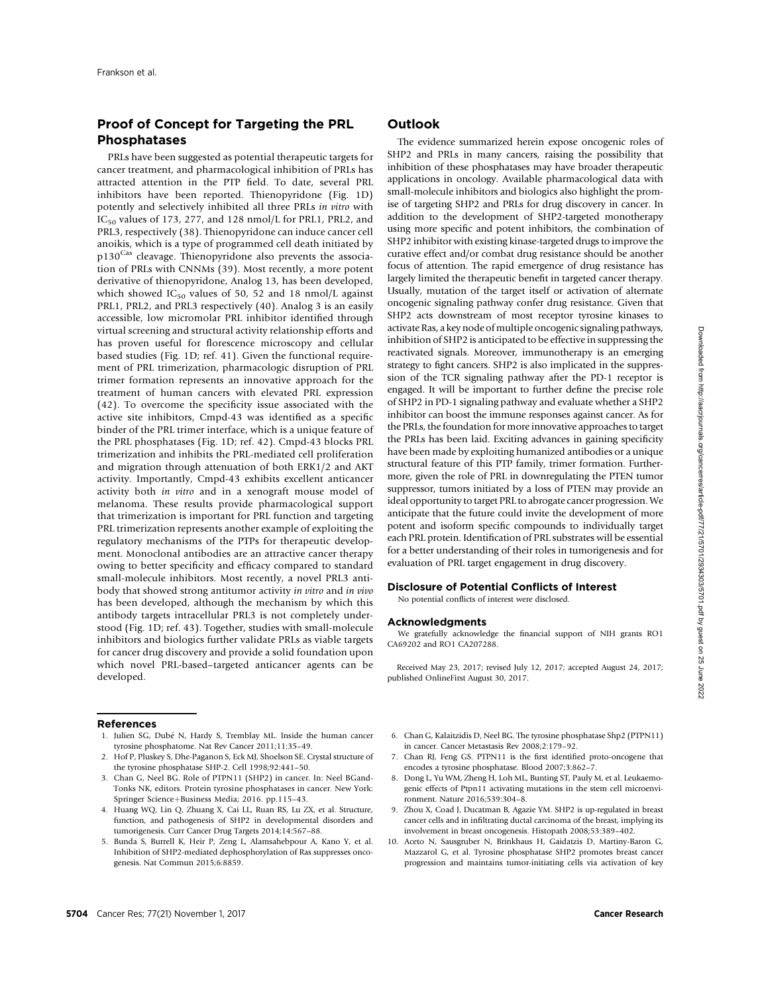# Proof of Concept for Targeting the PRL Phosphatases

PRLs have been suggested as potential therapeutic targets for cancer treatment, and pharmacological inhibition of PRLs has attracted attention in the PTP field. To date, several PRL inhibitors have been reported. Thienopyridone (Fig. 1D) potently and selectively inhibited all three PRLs in vitro with IC<sub>50</sub> values of 173, 277, and 128 nmol/L for PRL1, PRL2, and PRL3, respectively (38). Thienopyridone can induce cancer cell anoikis, which is a type of programmed cell death initiated by p130<sup>Cas</sup> cleavage. Thienopyridone also prevents the association of PRLs with CNNMs (39). Most recently, a more potent derivative of thienopyridone, Analog 13, has been developed, which showed  $IC_{50}$  values of 50, 52 and 18 nmol/L against PRL1, PRL2, and PRL3 respectively (40). Analog 3 is an easily accessible, low micromolar PRL inhibitor identified through virtual screening and structural activity relationship efforts and has proven useful for florescence microscopy and cellular based studies (Fig. 1D; ref. 41). Given the functional requirement of PRL trimerization, pharmacologic disruption of PRL trimer formation represents an innovative approach for the treatment of human cancers with elevated PRL expression (42). To overcome the specificity issue associated with the active site inhibitors, Cmpd-43 was identified as a specific binder of the PRL trimer interface, which is a unique feature of the PRL phosphatases (Fig. 1D; ref. 42). Cmpd-43 blocks PRL trimerization and inhibits the PRL-mediated cell proliferation and migration through attenuation of both ERK1/2 and AKT activity. Importantly, Cmpd-43 exhibits excellent anticancer activity both in vitro and in a xenograft mouse model of melanoma. These results provide pharmacological support that trimerization is important for PRL function and targeting PRL trimerization represents another example of exploiting the regulatory mechanisms of the PTPs for therapeutic development. Monoclonal antibodies are an attractive cancer therapy owing to better specificity and efficacy compared to standard small-molecule inhibitors. Most recently, a novel PRL3 antibody that showed strong antitumor activity in vitro and in vivo has been developed, although the mechanism by which this antibody targets intracellular PRL3 is not completely understood (Fig. 1D; ref. 43). Together, studies with small-molecule inhibitors and biologics further validate PRLs as viable targets for cancer drug discovery and provide a solid foundation upon which novel PRL-based–targeted anticancer agents can be developed.

## References

- 1. Julien SG, Dubé N, Hardy S, Tremblay ML. Inside the human cancer tyrosine phosphatome. Nat Rev Cancer 2011;11:35–49.
- 2. Hof P, Pluskey S, Dhe-Paganon S, Eck MJ, Shoelson SE. Crystal structure of the tyrosine phosphatase SHP-2. Cell 1998;92:441–50.
- 3. Chan G, Neel BG. Role of PTPN11 (SHP2) in cancer. In: Neel BGand-Tonks NK, editors. Protein tyrosine phosphatases in cancer. New York: Springer Science+Business Media; 2016. pp.115-43.
- 4. Huang WQ, Lin Q, Zhuang X, Cai LL, Ruan RS, Lu ZX, et al. Structure, function, and pathogenesis of SHP2 in developmental disorders and tumorigenesis. Curr Cancer Drug Targets 2014;14:567–88.
- 5. Bunda S, Burrell K, Heir P, Zeng L, Alamsahebpour A, Kano Y, et al. Inhibition of SHP2-mediated dephosphorylation of Ras suppresses oncogenesis. Nat Commun 2015;6:8859.

## **Outlook**

The evidence summarized herein expose oncogenic roles of SHP2 and PRLs in many cancers, raising the possibility that inhibition of these phosphatases may have broader therapeutic applications in oncology. Available pharmacological data with small-molecule inhibitors and biologics also highlight the promise of targeting SHP2 and PRLs for drug discovery in cancer. In addition to the development of SHP2-targeted monotherapy using more specific and potent inhibitors, the combination of SHP2 inhibitor with existing kinase-targeted drugs to improve the curative effect and/or combat drug resistance should be another focus of attention. The rapid emergence of drug resistance has largely limited the therapeutic benefit in targeted cancer therapy. Usually, mutation of the target itself or activation of alternate oncogenic signaling pathway confer drug resistance. Given that SHP2 acts downstream of most receptor tyrosine kinases to activate Ras, a key node of multiple oncogenic signaling pathways, inhibition of SHP2 is anticipated to be effective in suppressing the reactivated signals. Moreover, immunotherapy is an emerging strategy to fight cancers. SHP2 is also implicated in the suppression of the TCR signaling pathway after the PD-1 receptor is engaged. It will be important to further define the precise role of SHP2 in PD-1 signaling pathway and evaluate whether a SHP2 inhibitor can boost the immune responses against cancer. As for the PRLs, the foundation for more innovative approaches to target the PRLs has been laid. Exciting advances in gaining specificity have been made by exploiting humanized antibodies or a unique structural feature of this PTP family, trimer formation. Furthermore, given the role of PRL in downregulating the PTEN tumor suppressor, tumors initiated by a loss of PTEN may provide an ideal opportunity to target PRL to abrogate cancer progression. We anticipate that the future could invite the development of more potent and isoform specific compounds to individually target each PRL protein. Identification of PRL substrates will be essential for a better understanding of their roles in tumorigenesis and for evaluation of PRL target engagement in drug discovery.

#### Disclosure of Potential Conflicts of Interest

No potential conflicts of interest were disclosed.

#### Acknowledgments

We gratefully acknowledge the financial support of NIH grants RO1 CA69202 and RO1 CA207288.

Received May 23, 2017; revised July 12, 2017; accepted August 24, 2017; published OnlineFirst August 30, 2017.

- 6. Chan G, Kalaitzidis D, Neel BG. The tyrosine phosphatase Shp2 (PTPN11) in cancer. Cancer Metastasis Rev 2008;2:179–92.
- 7. Chan RJ, Feng GS. PTPN11 is the first identified proto-oncogene that encodes a tyrosine phosphatase. Blood 2007;3:862–7.
- 8. Dong L, Yu WM, Zheng H, Loh ML, Bunting ST, Pauly M, et al. Leukaemogenic effects of Ptpn11 activating mutations in the stem cell microenvironment. Nature 2016;539:304–8.
- 9. Zhou X, Coad J, Ducatman B, Agazie YM. SHP2 is up-regulated in breast cancer cells and in infiltrating ductal carcinoma of the breast, implying its involvement in breast oncogenesis. Histopath 2008;53:389–402.
- 10. Aceto N, Sausgruber N, Brinkhaus H, Gaidatzis D, Martiny-Baron G, Mazzarol G, et al. Tyrosine phosphatase SHP2 promotes breast cancer progression and maintains tumor-initiating cells via activation of key